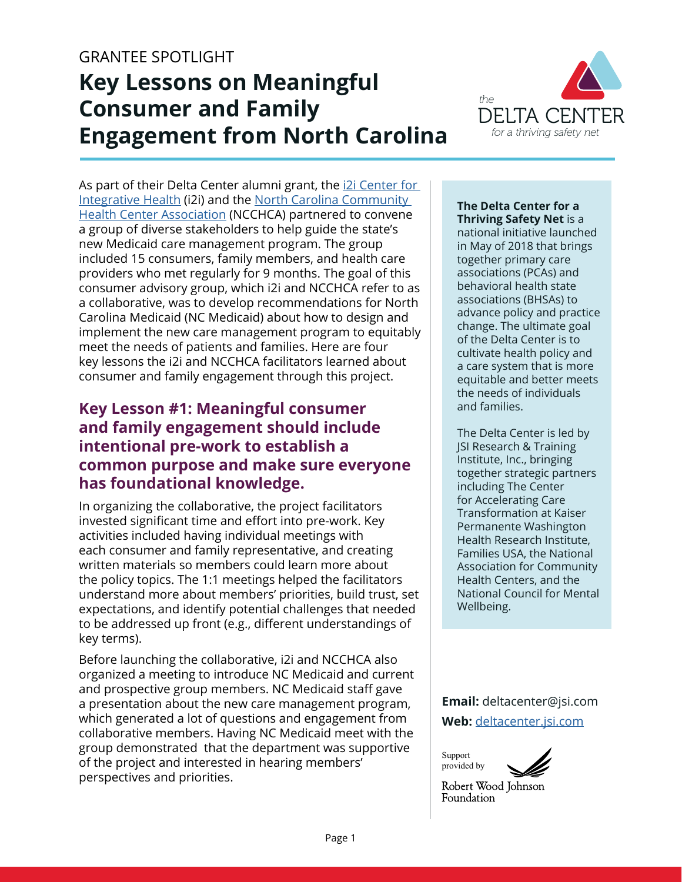#### GRANTEE SPOTLIGHT

# **Key Lessons on Meaningful Consumer and Family Engagement from North Carolina**



As part of their Delta Center alumni grant, the [i2i Center for](https://i2icenter.org)  [Integrative Health](https://i2icenter.org) (i2i) and the [North Carolina Community](https://www.ncchca.org)  [Health Center Association](https://www.ncchca.org) (NCCHCA) partnered to convene a group of diverse stakeholders to help guide the state's new Medicaid care management program. The group included 15 consumers, family members, and health care providers who met regularly for 9 months. The goal of this consumer advisory group, which i2i and NCCHCA refer to as a collaborative, was to develop recommendations for North Carolina Medicaid (NC Medicaid) about how to design and implement the new care management program to equitably meet the needs of patients and families. Here are four key lessons the i2i and NCCHCA facilitators learned about consumer and family engagement through this project.

### **Key Lesson #1: Meaningful consumer and family engagement should include intentional pre-work to establish a common purpose and make sure everyone has foundational knowledge.**

In organizing the collaborative, the project facilitators invested significant time and effort into pre-work. Key activities included having individual meetings with each consumer and family representative, and creating written materials so members could learn more about the policy topics. The 1:1 meetings helped the facilitators understand more about members' priorities, build trust, set expectations, and identify potential challenges that needed to be addressed up front (e.g., different understandings of key terms).

Before launching the collaborative, i2i and NCCHCA also organized a meeting to introduce NC Medicaid and current and prospective group members. NC Medicaid staff gave a presentation about the new care management program, which generated a lot of questions and engagement from collaborative members. Having NC Medicaid meet with the group demonstrated that the department was supportive of the project and interested in hearing members' perspectives and priorities.

#### **The Delta Center for a Thriving Safety Net** is a

national initiative launched in May of 2018 that brings together primary care associations (PCAs) and behavioral health state associations (BHSAs) to advance policy and practice change. The ultimate goal of the Delta Center is to cultivate health policy and a care system that is more equitable and better meets the needs of individuals and families.

The Delta Center is led by JSI Research & Training Institute, Inc., bringing together strategic partners including The Center for Accelerating Care Transformation at Kaiser Permanente Washington Health Research Institute, Families USA, the National Association for Community Health Centers, and the National Council for Mental Wellbeing.

**Email:** deltacenter@jsi.com **Web:** [deltacenter.jsi.com](http://deltacenter.jsi.com)

Support provided by



Robert Wood Johnson Foundation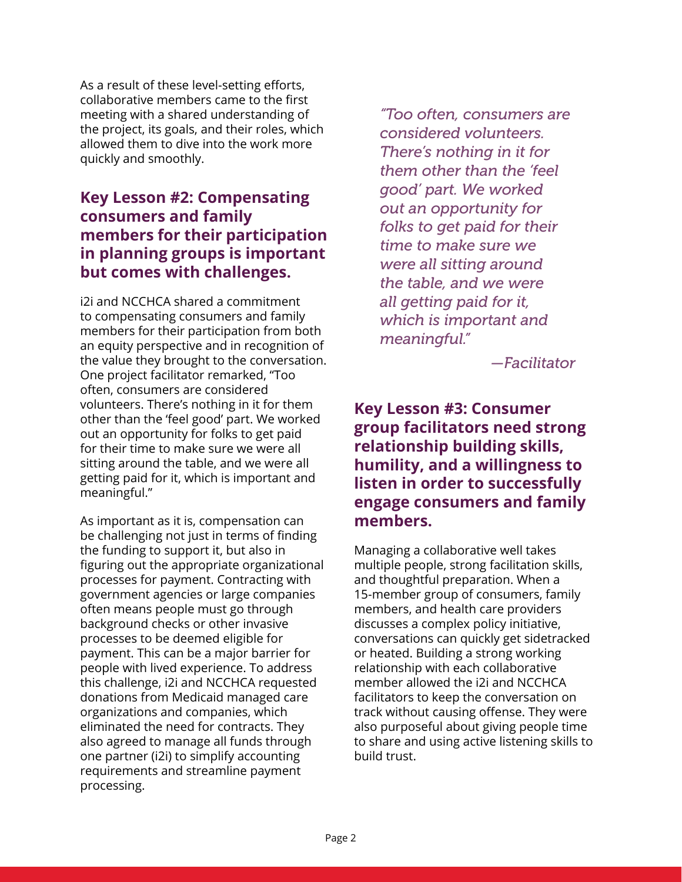As a result of these level-setting efforts, collaborative members came to the first meeting with a shared understanding of the project, its goals, and their roles, which allowed them to dive into the work more quickly and smoothly.

### **Key Lesson #2: Compensating consumers and family members for their participation in planning groups is important but comes with challenges.**

i2i and NCCHCA shared a commitment to compensating consumers and family members for their participation from both an equity perspective and in recognition of the value they brought to the conversation. One project facilitator remarked, "Too often, consumers are considered volunteers. There's nothing in it for them other than the 'feel good' part. We worked out an opportunity for folks to get paid for their time to make sure we were all sitting around the table, and we were all getting paid for it, which is important and meaningful."

As important as it is, compensation can be challenging not just in terms of finding the funding to support it, but also in figuring out the appropriate organizational processes for payment. Contracting with government agencies or large companies often means people must go through background checks or other invasive processes to be deemed eligible for payment. This can be a major barrier for people with lived experience. To address this challenge, i2i and NCCHCA requested donations from Medicaid managed care organizations and companies, which eliminated the need for contracts. They also agreed to manage all funds through one partner (i2i) to simplify accounting requirements and streamline payment processing.

*"Too often, consumers are considered volunteers. There's nothing in it for them other than the 'feel good' part. We worked out an opportunity for folks to get paid for their time to make sure we were all sitting around the table, and we were all getting paid for it, which is important and meaningful."* 

*—Facilitator*

### **Key Lesson #3: Consumer group facilitators need strong relationship building skills, humility, and a willingness to listen in order to successfully engage consumers and family members.**

Managing a collaborative well takes multiple people, strong facilitation skills, and thoughtful preparation. When a 15-member group of consumers, family members, and health care providers discusses a complex policy initiative, conversations can quickly get sidetracked or heated. Building a strong working relationship with each collaborative member allowed the i2i and NCCHCA facilitators to keep the conversation on track without causing offense. They were also purposeful about giving people time to share and using active listening skills to build trust.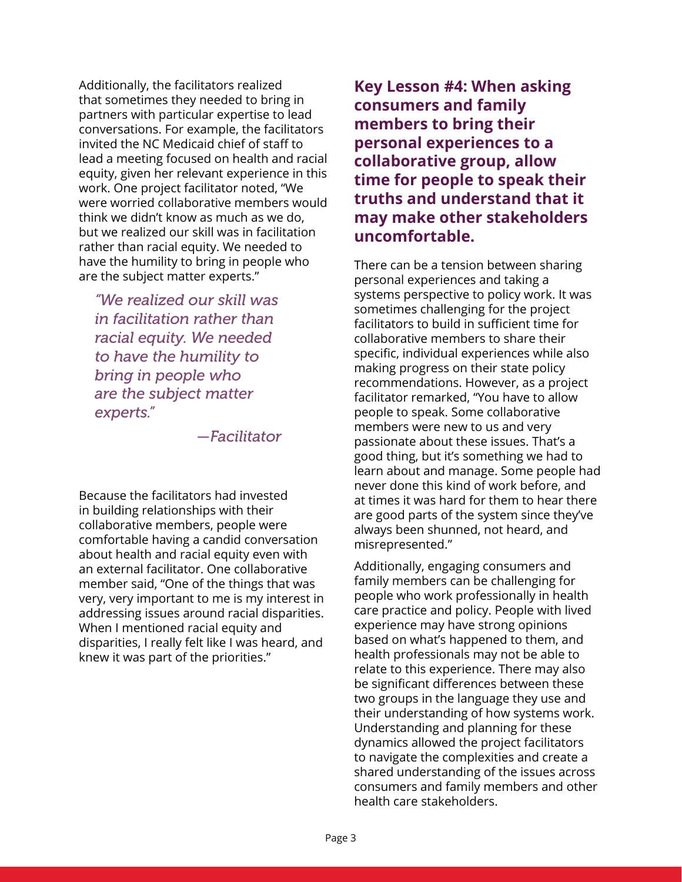Additionally, the facilitators realized that sometimes they needed to bring in partners with particular expertise to lead conversations. For example, the facilitators invited the NC Medicaid chief of staff to lead a meeting focused on health and racial equity, given her relevant experience in this work. One project facilitator noted, "We were worried collaborative members would think we didn't know as much as we do, but we realized our skill was in facilitation rather than racial equity. We needed to have the humility to bring in people who are the subject matter experts."

*"We realized our skill was in facilitation rather than racial equity. We needed to have the humility to bring in people who are the subject matter experts."* 

*—Facilitator*

Because the facilitators had invested in building relationships with their collaborative members, people were comfortable having a candid conversation about health and racial equity even with an external facilitator. One collaborative member said, "One of the things that was very, very important to me is my interest in addressing issues around racial disparities. When I mentioned racial equity and disparities, I really felt like I was heard, and knew it was part of the priorities."

**Key Lesson #4: When asking consumers and family members to bring their personal experiences to a collaborative group, allow time for people to speak their truths and understand that it may make other stakeholders uncomfortable.**

There can be a tension between sharing personal experiences and taking a systems perspective to policy work. It was sometimes challenging for the project facilitators to build in sufficient time for collaborative members to share their specific, individual experiences while also making progress on their state policy recommendations. However, as a project facilitator remarked, "You have to allow people to speak. Some collaborative members were new to us and very passionate about these issues. That's a good thing, but it's something we had to learn about and manage. Some people had never done this kind of work before, and at times it was hard for them to hear there are good parts of the system since they've always been shunned, not heard, and misrepresented."

Additionally, engaging consumers and family members can be challenging for people who work professionally in health care practice and policy. People with lived experience may have strong opinions based on what's happened to them, and health professionals may not be able to relate to this experience. There may also be significant differences between these two groups in the language they use and their understanding of how systems work. Understanding and planning for these dynamics allowed the project facilitators to navigate the complexities and create a shared understanding of the issues across consumers and family members and other health care stakeholders.